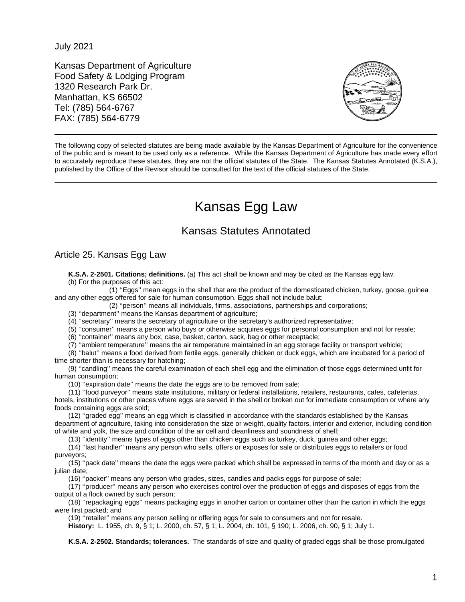July 2021

Kansas Department of Agriculture Food Safety & Lodging Program 1320 Research Park Dr. Manhattan, KS 66502 Tel: (785) 564-6767 FAX: (785) 564-6779



The following copy of selected statutes are being made available by the Kansas Department of Agriculture for the convenience of the public and is meant to be used only as a reference. While the Kansas Department of Agriculture has made every effort to accurately reproduce these statutes, they are not the official statutes of the State. The Kansas Statutes Annotated (K.S.A.), published by the Office of the Revisor should be consulted for the text of the official statutes of the State.

## Kansas Egg Law

## Kansas Statutes Annotated

## Article 25. Kansas Egg Law

**K.S.A. 2-2501. Citations; definitions.** (a) This act shall be known and may be cited as the Kansas egg law. (b) For the purposes of this act:

(1) ''Eggs'' mean eggs in the shell that are the product of the domesticated chicken, turkey, goose, guinea and any other eggs offered for sale for human consumption. Eggs shall not include balut;

(2) ''person'' means all individuals, firms, associations, partnerships and corporations;

(3) ''department'' means the Kansas department of agriculture;

(4) ''secretary'' means the secretary of agriculture or the secretary's authorized representative;

(5) ''consumer'' means a person who buys or otherwise acquires eggs for personal consumption and not for resale;

(6) ''container'' means any box, case, basket, carton, sack, bag or other receptacle;

(7) ''ambient temperature'' means the air temperature maintained in an egg storage facility or transport vehicle;

(8) ''balut'' means a food derived from fertile eggs, generally chicken or duck eggs, which are incubated for a period of time shorter than is necessary for hatching;

(9) ''candling'' means the careful examination of each shell egg and the elimination of those eggs determined unfit for human consumption;

(10) ''expiration date'' means the date the eggs are to be removed from sale;

(11) ''food purveyor'' means state institutions, military or federal installations, retailers, restaurants, cafes, cafeterias, hotels, institutions or other places where eggs are served in the shell or broken out for immediate consumption or where any foods containing eggs are sold;

(12) ''graded egg'' means an egg which is classified in accordance with the standards established by the Kansas department of agriculture, taking into consideration the size or weight, quality factors, interior and exterior, including condition of white and yolk, the size and condition of the air cell and cleanliness and soundness of shell;

(13) ''identity'' means types of eggs other than chicken eggs such as turkey, duck, guinea and other eggs;

(14) ''last handler'' means any person who sells, offers or exposes for sale or distributes eggs to retailers or food purveyors;

(15) ''pack date'' means the date the eggs were packed which shall be expressed in terms of the month and day or as a julian date;

(16) ''packer'' means any person who grades, sizes, candles and packs eggs for purpose of sale;

(17) ''producer'' means any person who exercises control over the production of eggs and disposes of eggs from the output of a flock owned by such person;

(18) ''repackaging eggs'' means packaging eggs in another carton or container other than the carton in which the eggs were first packed; and

(19) ''retailer'' means any person selling or offering eggs for sale to consumers and not for resale.

**History:** L. 1955, ch. 9, § 1; L. 2000, ch. 57, § 1; L. 2004, ch. 101, § 190; L. 2006, ch. 90, § 1; July 1.

**K.S.A. 2-2502. Standards; tolerances.** The standards of size and quality of graded eggs shall be those promulgated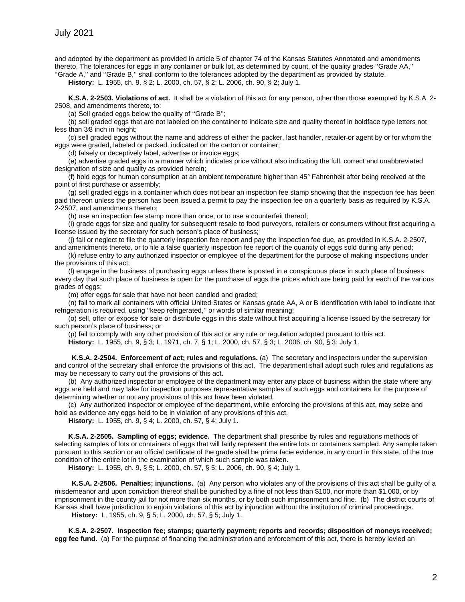and adopted by the department as provided in article 5 of chapter 74 of the Kansas Statutes Annotated and amendments thereto. The tolerances for eggs in any container or bulk lot, as determined by count, of the quality grades ''Grade AA,'' ''Grade A,'' and ''Grade B,'' shall conform to the tolerances adopted by the department as provided by statute.

**History:** L. 1955, ch. 9, § 2; L. 2000, ch. 57, § 2; L. 2006, ch. 90, § 2; July 1.

**K.S.A. 2-2503. Violations of act.** It shall be a violation of this act for any person, other than those exempted by K.S.A. 2- 2508, and amendments thereto, to:

(a) Sell graded eggs below the quality of ''Grade B'';

(b) sell graded eggs that are not labeled on the container to indicate size and quality thereof in boldface type letters not less than 3⁄8 inch in height;

(c) sell graded eggs without the name and address of either the packer, last handler, retailer or agent by or for whom the eggs were graded, labeled or packed, indicated on the carton or container;

(d) falsely or deceptively label, advertise or invoice eggs;

(e) advertise graded eggs in a manner which indicates price without also indicating the full, correct and unabbreviated designation of size and quality as provided herein;

(f) hold eggs for human consumption at an ambient temperature higher than 45° Fahrenheit after being received at the point of first purchase or assembly;

(g) sell graded eggs in a container which does not bear an inspection fee stamp showing that the inspection fee has been paid thereon unless the person has been issued a permit to pay the inspection fee on a quarterly basis as required by K.S.A. 2-2507, and amendments thereto;

(h) use an inspection fee stamp more than once, or to use a counterfeit thereof;

(i) grade eggs for size and quality for subsequent resale to food purveyors, retailers or consumers without first acquiring a license issued by the secretary for such person's place of business;

(j) fail or neglect to file the quarterly inspection fee report and pay the inspection fee due, as provided in K.S.A. 2-2507, and amendments thereto, or to file a false quarterly inspection fee report of the quantity of eggs sold during any period;

(k) refuse entry to any authorized inspector or employee of the department for the purpose of making inspections under the provisions of this act;

(l) engage in the business of purchasing eggs unless there is posted in a conspicuous place in such place of business every day that such place of business is open for the purchase of eggs the prices which are being paid for each of the various grades of eggs;

(m) offer eggs for sale that have not been candled and graded;

(n) fail to mark all containers with official United States or Kansas grade AA, A or B identification with label to indicate that refrigeration is required, using ''keep refrigerated,'' or words of similar meaning;

(o) sell, offer or expose for sale or distribute eggs in this state without first acquiring a license issued by the secretary for such person's place of business; or

(p) fail to comply with any other provision of this act or any rule or regulation adopted pursuant to this act.

**History:** L. 1955, ch. 9, § 3; L. 1971, ch. 7, § 1; L. 2000, ch. 57, § 3; L. 2006, ch. 90, § 3; July 1.

**K.S.A. 2-2504. Enforcement of act; rules and regulations.** (a) The secretary and inspectors under the supervision and control of the secretary shall enforce the provisions of this act. The department shall adopt such rules and regulations as may be necessary to carry out the provisions of this act.

(b) Any authorized inspector or employee of the department may enter any place of business within the state where any eggs are held and may take for inspection purposes representative samples of such eggs and containers for the purpose of determining whether or not any provisions of this act have been violated.

(c) Any authorized inspector or employee of the department, while enforcing the provisions of this act, may seize and hold as evidence any eggs held to be in violation of any provisions of this act.

**History:** L. 1955, ch. 9, § 4; L. 2000, ch. 57, § 4; July 1.

**K.S.A. 2-2505. Sampling of eggs; evidence.** The department shall prescribe by rules and regulations methods of selecting samples of lots or containers of eggs that will fairly represent the entire lots or containers sampled. Any sample taken pursuant to this section or an official certificate of the grade shall be prima facie evidence, in any court in this state, of the true condition of the entire lot in the examination of which such sample was taken.

**History:** L. 1955, ch. 9, § 5; L. 2000, ch. 57, § 5; L. 2006, ch. 90, § 4; July 1.

**K.S.A. 2-2506. Penalties; injunctions.** (a) Any person who violates any of the provisions of this act shall be guilty of a misdemeanor and upon conviction thereof shall be punished by a fine of not less than \$100, nor more than \$1,000, or by imprisonment in the county jail for not more than six months, or by both such imprisonment and fine. (b) The district courts of Kansas shall have jurisdiction to enjoin violations of this act by injunction without the institution of criminal proceedings.

**History:** L. 1955, ch. 9, § 5; L. 2000, ch. 57, § 5; July 1.

**K.S.A. 2-2507. Inspection fee; stamps; quarterly payment; reports and records; disposition of moneys received; egg fee fund.** (a) For the purpose of financing the administration and enforcement of this act, there is hereby levied an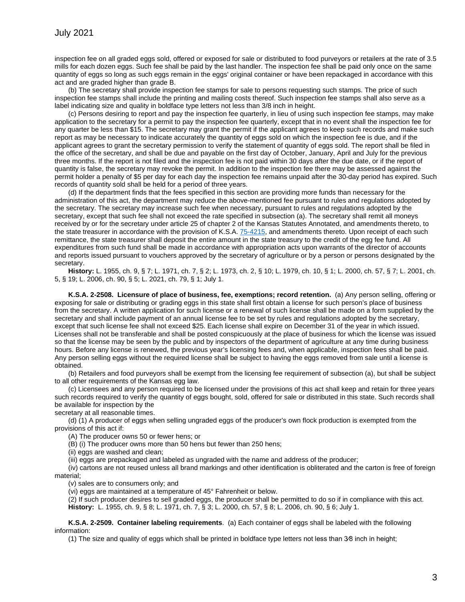inspection fee on all graded eggs sold, offered or exposed for sale or distributed to food purveyors or retailers at the rate of 3.5 mills for each dozen eggs. Such fee shall be paid by the last handler. The inspection fee shall be paid only once on the same quantity of eggs so long as such eggs remain in the eggs' original container or have been repackaged in accordance with this act and are graded higher than grade B.

(b) The secretary shall provide inspection fee stamps for sale to persons requesting such stamps. The price of such inspection fee stamps shall include the printing and mailing costs thereof. Such inspection fee stamps shall also serve as a label indicating size and quality in boldface type letters not less than 3/8 inch in height.

(c) Persons desiring to report and pay the inspection fee quarterly, in lieu of using such inspection fee stamps, may make application to the secretary for a permit to pay the inspection fee quarterly, except that in no event shall the inspection fee for any quarter be less than \$15. The secretary may grant the permit if the applicant agrees to keep such records and make such report as may be necessary to indicate accurately the quantity of eggs sold on which the inspection fee is due, and if the applicant agrees to grant the secretary permission to verify the statement of quantity of eggs sold. The report shall be filed in the office of the secretary, and shall be due and payable on the first day of October, January, April and July for the previous three months. If the report is not filed and the inspection fee is not paid within 30 days after the due date, or if the report of quantity is false, the secretary may revoke the permit. In addition to the inspection fee there may be assessed against the permit holder a penalty of \$5 per day for each day the inspection fee remains unpaid after the 30-day period has expired. Such records of quantity sold shall be held for a period of three years.

(d) If the department finds that the fees specified in this section are providing more funds than necessary for the administration of this act, the department may reduce the above-mentioned fee pursuant to rules and regulations adopted by the secretary. The secretary may increase such fee when necessary, pursuant to rules and regulations adopted by the secretary, except that such fee shall not exceed the rate specified in subsection (a). The secretary shall remit all moneys received by or for the secretary under article 25 of chapter 2 of the Kansas Statutes Annotated, and amendments thereto, to the state treasurer in accordance with the provision of K.S.A.  $75-4215$ , and amendments thereto. Upon receipt of each such remittance, the state treasurer shall deposit the entire amount in the state treasury to the credit of the egg fee fund. All expenditures from such fund shall be made in accordance with appropriation acts upon warrants of the director of accounts and reports issued pursuant to vouchers approved by the secretary of agriculture or by a person or persons designated by the secretary.

**History:** L. 1955, ch. 9, § 7; L. 1971, ch. 7, § 2; L. 1973, ch. 2, § 10; L. 1979, ch. 10, § 1; L. 2000, ch. 57, § 7; L. 2001, ch. 5, § 19; L. 2006, ch. 90, § 5; L. 2021, ch. 79, § 1; July 1.

**K.S.A. 2-2508. Licensure of place of business, fee, exemptions; record retention.** (a) Any person selling, offering or exposing for sale or distributing or grading eggs in this state shall first obtain a license for such person's place of business from the secretary. A written application for such license or a renewal of such license shall be made on a form supplied by the secretary and shall include payment of an annual license fee to be set by rules and regulations adopted by the secretary, except that such license fee shall not exceed \$25. Each license shall expire on December 31 of the year in which issued. Licenses shall not be transferable and shall be posted conspicuously at the place of business for which the license was issued so that the license may be seen by the public and by inspectors of the department of agriculture at any time during business hours. Before any license is renewed, the previous year's licensing fees and, when applicable, inspection fees shall be paid. Any person selling eggs without the required license shall be subject to having the eggs removed from sale until a license is obtained.

(b) Retailers and food purveyors shall be exempt from the licensing fee requirement of subsection (a), but shall be subject to all other requirements of the Kansas egg law.

(c) Licensees and any person required to be licensed under the provisions of this act shall keep and retain for three years such records required to verify the quantity of eggs bought, sold, offered for sale or distributed in this state. Such records shall be available for inspection by the

secretary at all reasonable times.

(d) (1) A producer of eggs when selling ungraded eggs of the producer's own flock production is exempted from the provisions of this act if:

(A) The producer owns 50 or fewer hens; or

(B) (i) The producer owns more than 50 hens but fewer than 250 hens;

(ii) eggs are washed and clean;

(iii) eggs are prepackaged and labeled as ungraded with the name and address of the producer;

(iv) cartons are not reused unless all brand markings and other identification is obliterated and the carton is free of foreign material;

(v) sales are to consumers only; and

(vi) eggs are maintained at a temperature of 45° Fahrenheit or below.

(2) If such producer desires to sell graded eggs, the producer shall be permitted to do so if in compliance with this act. **History:** L. 1955, ch. 9, § 8; L. 1971, ch. 7, § 3; L. 2000, ch. 57, § 8; L. 2006, ch. 90, § 6; July 1.

**K.S.A. 2-2509. Container labeling requirements**. (a) Each container of eggs shall be labeled with the following information:

(1) The size and quality of eggs which shall be printed in boldface type letters not less than 3⁄8 inch in height;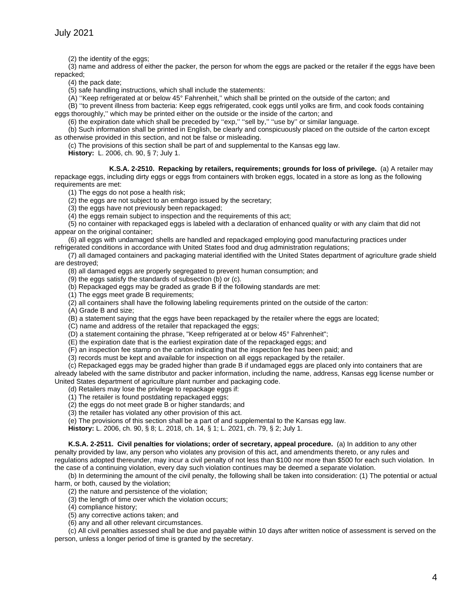(2) the identity of the eggs;

(3) name and address of either the packer, the person for whom the eggs are packed or the retailer if the eggs have been repacked;

(4) the pack date;

(5) safe handling instructions, which shall include the statements:

(A) ''Keep refrigerated at or below 45° Fahrenheit,'' which shall be printed on the outside of the carton; and

(B) ''to prevent illness from bacteria: Keep eggs refrigerated, cook eggs until yolks are firm, and cook foods containing eggs thoroughly,'' which may be printed either on the outside or the inside of the carton; and

(6) the expiration date which shall be preceded by ''exp,'' ''sell by,'' ''use by'' or similar language.

(b) Such information shall be printed in English, be clearly and conspicuously placed on the outside of the carton except as otherwise provided in this section, and not be false or misleading.

(c) The provisions of this section shall be part of and supplemental to the Kansas egg law.

**History:** L. 2006, ch. 90, § 7; July 1.

**K.S.A. 2-2510. Repacking by retailers, requirements; grounds for loss of privilege.** (a) A retailer may

repackage eggs, including dirty eggs or eggs from containers with broken eggs, located in a store as long as the following requirements are met:

(1) The eggs do not pose a health risk;

(2) the eggs are not subject to an embargo issued by the secretary;

(3) the eggs have not previously been repackaged;

(4) the eggs remain subject to inspection and the requirements of this act;

(5) no container with repackaged eggs is labeled with a declaration of enhanced quality or with any claim that did not appear on the original container;

(6) all eggs with undamaged shells are handled and repackaged employing good manufacturing practices under refrigerated conditions in accordance with United States food and drug administration regulations;

(7) all damaged containers and packaging material identified with the United States department of agriculture grade shield are destroyed;

(8) all damaged eggs are properly segregated to prevent human consumption; and

(9) the eggs satisfy the standards of subsection (b) or (c).

(b) Repackaged eggs may be graded as grade B if the following standards are met:

(1) The eggs meet grade B requirements;

(2) all containers shall have the following labeling requirements printed on the outside of the carton:

(A) Grade B and size;

(B) a statement saying that the eggs have been repackaged by the retailer where the eggs are located;

(C) name and address of the retailer that repackaged the eggs;

(D) a statement containing the phrase, "Keep refrigerated at or below 45° Fahrenheit";

(E) the expiration date that is the earliest expiration date of the repackaged eggs; and

(F) an inspection fee stamp on the carton indicating that the inspection fee has been paid; and

(3) records must be kept and available for inspection on all eggs repackaged by the retailer.

(c) Repackaged eggs may be graded higher than grade B if undamaged eggs are placed only into containers that are already labeled with the same distributor and packer information, including the name, address, Kansas egg license number or United States department of agriculture plant number and packaging code.

(d) Retailers may lose the privilege to repackage eggs if:

(1) The retailer is found postdating repackaged eggs;

(2) the eggs do not meet grade B or higher standards; and

(3) the retailer has violated any other provision of this act.

(e) The provisions of this section shall be a part of and supplemental to the Kansas egg law.

**History:** L. 2006, ch. 90, § 8; L. 2018, ch. 14, § 1; L. 2021, ch. 79, § 2; July 1.

**K.S.A. 2-2511. Civil penalties for violations; order of secretary, appeal procedure.** (a) In addition to any other penalty provided by law, any person who violates any provision of this act, and amendments thereto, or any rules and regulations adopted thereunder, may incur a civil penalty of not less than \$100 nor more than \$500 for each such violation. In the case of a continuing violation, every day such violation continues may be deemed a separate violation.

(b) In determining the amount of the civil penalty, the following shall be taken into consideration: (1) The potential or actual harm, or both, caused by the violation;

(2) the nature and persistence of the violation;

- (3) the length of time over which the violation occurs;
- (4) compliance history;
- (5) any corrective actions taken; and

(6) any and all other relevant circumstances.

(c) All civil penalties assessed shall be due and payable within 10 days after written notice of assessment is served on the person, unless a longer period of time is granted by the secretary.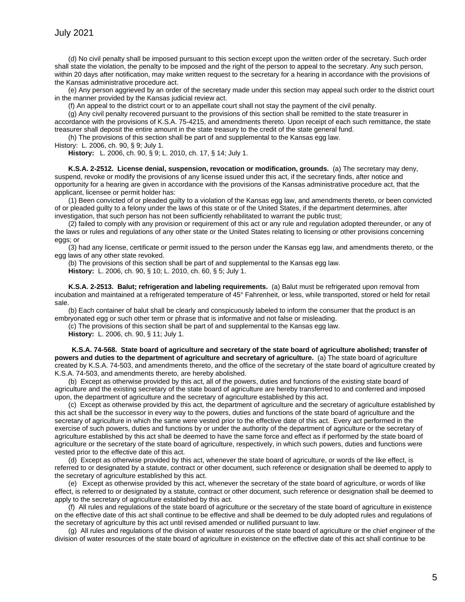(d) No civil penalty shall be imposed pursuant to this section except upon the written order of the secretary. Such order shall state the violation, the penalty to be imposed and the right of the person to appeal to the secretary. Any such person, within 20 days after notification, may make written request to the secretary for a hearing in accordance with the provisions of the Kansas administrative procedure act.

(e) Any person aggrieved by an order of the secretary made under this section may appeal such order to the district court in the manner provided by the Kansas judicial review act.

(f) An appeal to the district court or to an appellate court shall not stay the payment of the civil penalty.

(g) Any civil penalty recovered pursuant to the provisions of this section shall be remitted to the state treasurer in accordance with the provisions of K.S.A. 75-4215, and amendments thereto. Upon receipt of each such remittance, the state treasurer shall deposit the entire amount in the state treasury to the credit of the state general fund.

(h) The provisions of this section shall be part of and supplemental to the Kansas egg law.

History: L. 2006, ch. 90, § 9; July 1.

**History:** L. 2006, ch. 90, § 9; L. 2010, ch. 17, § 14; July 1.

**K.S.A. 2-2512. License denial, suspension, revocation or modification, grounds.** (a) The secretary may deny, suspend, revoke or modify the provisions of any license issued under this act, if the secretary finds, after notice and opportunity for a hearing are given in accordance with the provisions of the Kansas administrative procedure act, that the applicant, licensee or permit holder has:

(1) Been convicted of or pleaded guilty to a violation of the Kansas egg law, and amendments thereto, or been convicted of or pleaded guilty to a felony under the laws of this state or of the United States, if the department determines, after investigation, that such person has not been sufficiently rehabilitated to warrant the public trust;

(2) failed to comply with any provision or requirement of this act or any rule and regulation adopted thereunder, or any of the laws or rules and regulations of any other state or the United States relating to licensing or other provisions concerning eggs; or

(3) had any license, certificate or permit issued to the person under the Kansas egg law, and amendments thereto, or the egg laws of any other state revoked.

(b) The provisions of this section shall be part of and supplemental to the Kansas egg law.

**History:** L. 2006, ch. 90, § 10; L. 2010, ch. 60, § 5; July 1.

**K.S.A. 2-2513. Balut; refrigeration and labeling requirements.** (a) Balut must be refrigerated upon removal from incubation and maintained at a refrigerated temperature of 45° Fahrenheit, or less, while transported, stored or held for retail sale.

(b) Each container of balut shall be clearly and conspicuously labeled to inform the consumer that the product is an embryonated egg or such other term or phrase that is informative and not false or misleading.

(c) The provisions of this section shall be part of and supplemental to the Kansas egg law.

**History:** L. 2006, ch. 90, § 11; July 1.

**K.S.A. 74-568. State board of agriculture and secretary of the state board of agriculture abolished; transfer of powers and duties to the department of agriculture and secretary of agriculture.** (a) The state board of agriculture created by K.S.A. 74-503, and amendments thereto, and the office of the secretary of the state board of agriculture created by K.S.A. 74-503, and amendments thereto, are hereby abolished.

(b) Except as otherwise provided by this act, all of the powers, duties and functions of the existing state board of agriculture and the existing secretary of the state board of agriculture are hereby transferred to and conferred and imposed upon, the department of agriculture and the secretary of agriculture established by this act.

(c) Except as otherwise provided by this act, the department of agriculture and the secretary of agriculture established by this act shall be the successor in every way to the powers, duties and functions of the state board of agriculture and the secretary of agriculture in which the same were vested prior to the effective date of this act. Every act performed in the exercise of such powers, duties and functions by or under the authority of the department of agriculture or the secretary of agriculture established by this act shall be deemed to have the same force and effect as if performed by the state board of agriculture or the secretary of the state board of agriculture, respectively, in which such powers, duties and functions were vested prior to the effective date of this act.

(d) Except as otherwise provided by this act, whenever the state board of agriculture, or words of the like effect, is referred to or designated by a statute, contract or other document, such reference or designation shall be deemed to apply to the secretary of agriculture established by this act.

(e) Except as otherwise provided by this act, whenever the secretary of the state board of agriculture, or words of like effect, is referred to or designated by a statute, contract or other document, such reference or designation shall be deemed to apply to the secretary of agriculture established by this act.

(f) All rules and regulations of the state board of agriculture or the secretary of the state board of agriculture in existence on the effective date of this act shall continue to be effective and shall be deemed to be duly adopted rules and regulations of the secretary of agriculture by this act until revised amended or nullified pursuant to law.

(g) All rules and regulations of the division of water resources of the state board of agriculture or the chief engineer of the division of water resources of the state board of agriculture in existence on the effective date of this act shall continue to be